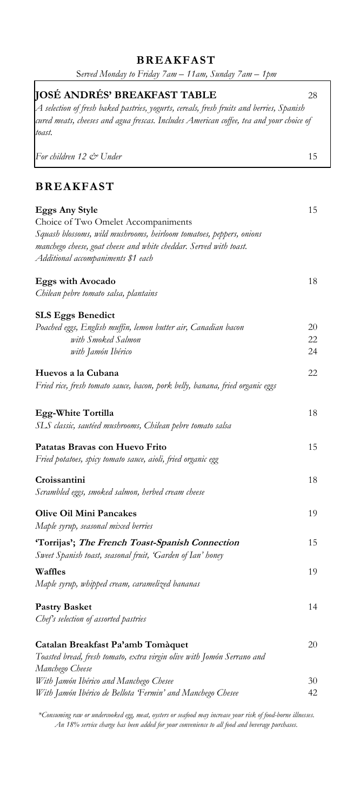# **BREAKFAST**

| Served Monday to Friday 7am - 11am, Sunday 7am - 1pm                                                                             |    |
|----------------------------------------------------------------------------------------------------------------------------------|----|
| <b>  OSÉ ANDRÉS' BREAKFAST TABLE</b><br>A selection of fresh baked pastries, yogurts, cereals, fresh fruits and berries, Spanish | 28 |
| cured meats, cheeses and agua frescas. Includes American coffee, tea and your choice of<br>toast.                                |    |
| For children 12 & Under                                                                                                          | 15 |
| <b>BREAKFAST</b>                                                                                                                 |    |
| <b>Eggs Any Style</b>                                                                                                            | 15 |
| Choice of Two Omelet Accompaniments                                                                                              |    |
| Squash blossoms, wild mushrooms, heirloom tomatoes, peppers, onions                                                              |    |
| manchego cheese, goat cheese and white cheddar. Served with toast.<br>Additional accompaniments \$1 each                         |    |
| <b>Eggs with Avocado</b>                                                                                                         | 18 |
| Chilean pebre tomato salsa, plantains                                                                                            |    |
| <b>SLS Eggs Benedict</b>                                                                                                         |    |
| Poached eggs, English muffin, lemon butter air, Canadian bacon                                                                   | 20 |
| with Smoked Salmon                                                                                                               | 22 |
| with Jamón Ibérico                                                                                                               | 24 |
| Huevos a la Cubana<br>Fried rice, fresh tomato sauce, bacon, pork belly, banana, fried organic eggs                              | 22 |
| Egg-White Tortilla                                                                                                               | 18 |
| SLS classic, sautéed mushrooms, Chilean pebre tomato salsa                                                                       |    |
| Patatas Bravas con Huevo Frito                                                                                                   | 15 |
| Fried potatoes, spicy tomato sauce, aioli, fried organic egg                                                                     |    |
| Croissantini                                                                                                                     | 18 |
| Scrambled eggs, smoked salmon, herbed cream cheese                                                                               |    |
| <b>Olive Oil Mini Pancakes</b>                                                                                                   | 19 |
| Maple syrup, seasonal mixed berries                                                                                              |    |
| 'Torrijas'; The French Toast-Spanish Connection<br>Sweet Spanish toast, seasonal fruit, 'Garden of Ian' honey                    | 15 |
| Waffles<br>Maple syrup, whipped cream, caramelized bananas                                                                       | 19 |
| <b>Pastry Basket</b>                                                                                                             | 14 |
| Chef's selection of assorted pastries                                                                                            |    |
| Catalan Breakfast Pa'amb Tomàquet                                                                                                | 20 |
| Toasted bread, fresh tomato, extra virgin olive with Jomón Serrano and                                                           |    |
| Manchego Cheese                                                                                                                  |    |
| With Jamón Ibérico and Manchego Chesee                                                                                           | 30 |
| With Jamón Ibérico de Bellota 'Fermin' and Manchego Chesee                                                                       | 42 |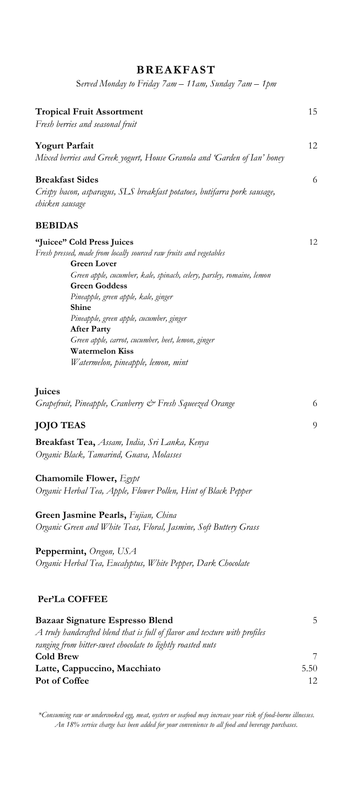| Served Monday to Friday 7am - 11am, Sunday 7am - 1pm                       |      |
|----------------------------------------------------------------------------|------|
| <b>Tropical Fruit Assortment</b><br>Fresh berries and seasonal fruit       | 15   |
| <b>Yogurt Parfait</b>                                                      | 12   |
| Mixed berries and Greek yogurt, House Granola and 'Garden of Ian' honey    |      |
| <b>Breakfast Sides</b>                                                     | 6    |
| Crispy bacon, asparagus, SLS breakfast potatoes, butifarra pork sausage,   |      |
| chicken sausage                                                            |      |
| <b>BEBIDAS</b>                                                             |      |
| "Juicee" Cold Press Juices                                                 | 12   |
| Fresh pressed, made from locally sourced raw fruits and vegetables         |      |
| <b>Green Lover</b>                                                         |      |
| Green apple, cucumber, kale, spinach, celery, parsley, romaine, lemon      |      |
| <b>Green Goddess</b><br>Pineapple, green apple, kale, ginger               |      |
| Shine                                                                      |      |
| Pineapple, green apple, cucumber, ginger                                   |      |
| <b>After Party</b>                                                         |      |
| Green apple, carrot, cucumber, beet, lemon, ginger                         |      |
| <b>Watermelon Kiss</b>                                                     |      |
| Watermelon, pineapple, lemon, mint                                         |      |
| Juices                                                                     |      |
| Grapefruit, Pineapple, Cranberry & Fresh Squeezed Orange                   | 6    |
|                                                                            |      |
| <b>JOJO TEAS</b>                                                           | 9    |
| Breakfast Tea, Assam, India, Sri Lanka, Kenya                              |      |
| Organic Black, Tamarind, Guava, Molasses                                   |      |
|                                                                            |      |
| Chamomile Flower, Egypt                                                    |      |
| Organic Herbal Tea, Apple, Flower Pollen, Hint of Black Pepper             |      |
| Green Jasmine Pearls, Fujian, China                                        |      |
| Organic Green and White Teas, Floral, Jasmine, Soft Buttery Grass          |      |
| Peppermint, Oregon, USA                                                    |      |
| Organic Herbal Tea, Eucalyptus, White Pepper, Dark Chocolate               |      |
|                                                                            |      |
| Per'La COFFEE                                                              |      |
| Bazaar Signature Espresso Blend                                            | 5    |
| A truly handcrafted blend that is full of flavor and texture with profiles |      |
| ranging from bitter-sweet chocolate to lightly roasted nuts                |      |
| <b>Cold Brew</b>                                                           | 7    |
| Latte, Cappuccino, Macchiato                                               | 5.50 |
| Pot of Coffee                                                              | 12   |
|                                                                            |      |

**BREAKFAST**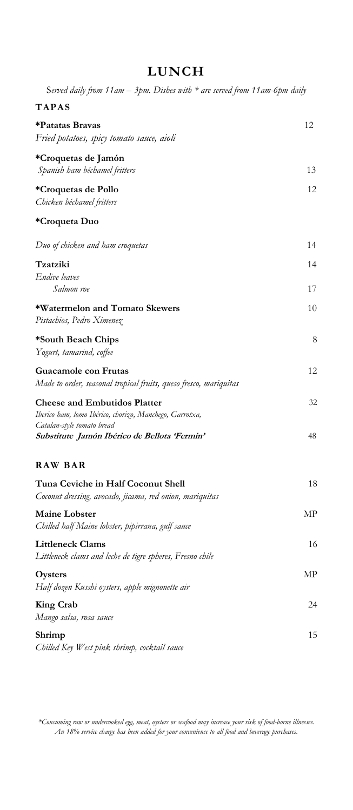## **LUNCH**

S*erved daily from 11am – 3pm. Dishes with \* are served from 11am-6pm daily*

| <b>TAPAS</b>                                                                                   |    |
|------------------------------------------------------------------------------------------------|----|
| *Patatas Bravas<br>Fried potatoes, spicy tomato sauce, aioli                                   | 12 |
| *Croquetas de Jamón                                                                            |    |
| Spanish ham béchamel fritters                                                                  | 13 |
| *Croquetas de Pollo                                                                            | 12 |
| Chicken béchamel fritters                                                                      |    |
| *Croqueta Duo                                                                                  |    |
| Duo of chicken and ham croquetas                                                               | 14 |
| Tzatziki                                                                                       | 14 |
| Endive leaves                                                                                  |    |
| Salmon roe                                                                                     | 17 |
| *Watermelon and Tomato Skewers                                                                 | 10 |
| Pistachios, Pedro Ximenez                                                                      |    |
| *South Beach Chips<br>Yogurt, tamarind, coffee                                                 | 8  |
| Guacamole con Frutas<br>Made to order, seasonal tropical fruits, queso fresco, mariquitas      | 12 |
| <b>Cheese and Embutidos Platter</b><br>Iberico ham, lomo Ibérico, chorizo, Manchego, Garrotxa, | 32 |
| Catalan-style tomato bread<br>Substitute Jamón Ibérico de Bellota 'Fermin'                     | 48 |
| <b>RAW BAR</b>                                                                                 |    |
| Tuna Ceviche in Half Coconut Shell<br>Coconut dressing, avocado, jicama, red onion, mariquitas | 18 |
| <b>Maine Lobster</b><br>Chilled half Maine lobster, pipirrana, gulf sauce                      | МP |
| <b>Littleneck Clams</b><br>Littleneck clams and leche de tigre spheres, Fresno chile           | 16 |
| Oysters<br>Half dozen Kusshi oysters, apple mignonette air                                     | МP |
| <b>King Crab</b><br>Mango salsa, rosa sauce                                                    | 24 |
| Shrimp<br>Chilled Key West pink shrimp, cocktail sauce                                         | 15 |